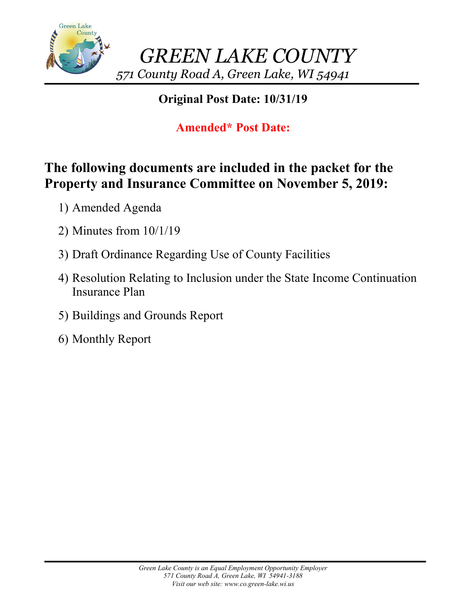

## **Original Post Date: 10/31/19**

# **Amended\* Post Date:**

# **The following documents are included in the packet for the Property and Insurance Committee on November 5, 2019:**

- 1) Amended Agenda
- 2) Minutes from 10/1/19
- 3) Draft Ordinance Regarding Use of County Facilities
- 4) Resolution Relating to Inclusion under the State Income Continuation Insurance Plan
- 5) Buildings and Grounds Report
- 6) Monthly Report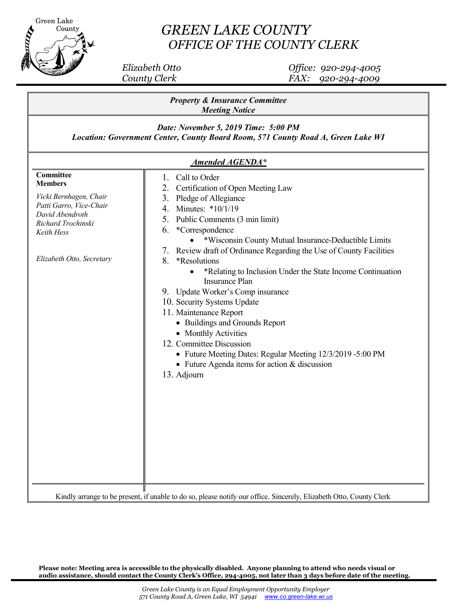

## *GREEN LAKE COUNTY OFFICE OF THE COUNTY CLERK*

 *Elizabeth Otto Office: 920-294-4005 County Clerk FAX: 920-294-4009*

| <b>Property &amp; Insurance Committee</b><br><b>Meeting Notice</b><br>Date: November 5, 2019 Time: 5:00 PM<br>Location: Government Center, County Board Room, 571 County Road A, Green Lake WI<br><b>Amended AGENDA*</b> |  |  |                                                                                                                                                                      |                                                                                                                                                                                                                                                                                                                                                                                                                                                                                                                                                                                                                                                                                                                                        |
|--------------------------------------------------------------------------------------------------------------------------------------------------------------------------------------------------------------------------|--|--|----------------------------------------------------------------------------------------------------------------------------------------------------------------------|----------------------------------------------------------------------------------------------------------------------------------------------------------------------------------------------------------------------------------------------------------------------------------------------------------------------------------------------------------------------------------------------------------------------------------------------------------------------------------------------------------------------------------------------------------------------------------------------------------------------------------------------------------------------------------------------------------------------------------------|
|                                                                                                                                                                                                                          |  |  | Committee<br><b>Members</b><br>Vicki Bernhagen, Chair<br>Patti Garro, Vice-Chair<br>David Abendroth<br>Richard Trochinski<br>Keith Hess<br>Elizabeth Otto, Secretary | 1. Call to Order<br>Certification of Open Meeting Law<br>2.<br>3. Pledge of Allegiance<br>4. Minutes: *10/1/19<br>5. Public Comments (3 min limit)<br>*Correspondence<br>6.<br>*Wisconsin County Mutual Insurance-Deductible Limits<br>7. Review draft of Ordinance Regarding the Use of County Facilities<br>8. *Resolutions<br>*Relating to Inclusion Under the State Income Continuation<br><b>Insurance Plan</b><br>9. Update Worker's Comp insurance<br>10. Security Systems Update<br>11. Maintenance Report<br>• Buildings and Grounds Report<br>• Monthly Activities<br>12. Committee Discussion<br>• Future Meeting Dates: Regular Meeting 12/3/2019 -5:00 PM<br>• Future Agenda items for action & discussion<br>13. Adjourn |
|                                                                                                                                                                                                                          |  |  |                                                                                                                                                                      | Kindly arrange to be present, if unable to do so, please notify our office. Sincerely, Elizabeth Otto, County Clerk                                                                                                                                                                                                                                                                                                                                                                                                                                                                                                                                                                                                                    |

**Please note: Meeting area is accessible to the physically disabled. Anyone planning to attend who needs visual or audio assistance, should contact the County Clerk's Office, 294-4005, not later than 3 days before date 0f the meeting.**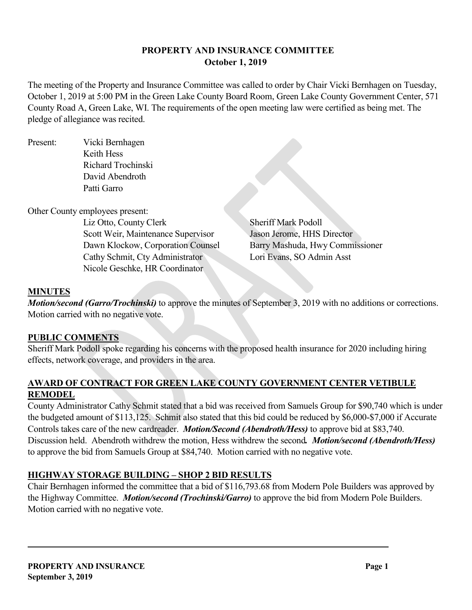## **PROPERTY AND INSURANCE COMMITTEE October 1, 2019**

The meeting of the Property and Insurance Committee was called to order by Chair Vicki Bernhagen on Tuesday, October 1, 2019 at 5:00 PM in the Green Lake County Board Room, Green Lake County Government Center, 571 County Road A, Green Lake, WI. The requirements of the open meeting law were certified as being met. The pledge of allegiance was recited.

Present: Vicki Bernhagen Keith Hess Richard Trochinski David Abendroth Patti Garro

Other County employees present:

Liz Otto, County Clerk Sheriff Mark Podoll Scott Weir, Maintenance Supervisor Jason Jerome, HHS Director Dawn Klockow, Corporation Counsel Barry Mashuda, Hwy Commissioner Cathy Schmit, Cty Administrator Lori Evans, SO Admin Asst Nicole Geschke, HR Coordinator

## **MINUTES**

*Motion/second (Garro/Trochinski)* to approve the minutes of September 3, 2019 with no additions or corrections. Motion carried with no negative vote.

## **PUBLIC COMMENTS**

Sheriff Mark Podoll spoke regarding his concerns with the proposed health insurance for 2020 including hiring effects, network coverage, and providers in the area.

## **AWARD OF CONTRACT FOR GREEN LAKE COUNTY GOVERNMENT CENTER VETIBULE REMODEL**

County Administrator Cathy Schmit stated that a bid was received from Samuels Group for \$90,740 which is under the budgeted amount of \$113,125. Schmit also stated that this bid could be reduced by \$6,000-\$7,000 if Accurate Controls takes care of the new cardreader. *Motion/Second (Abendroth/Hess)* to approve bid at \$83,740. Discussion held. Abendroth withdrew the motion, Hess withdrew the second*. Motion/second (Abendroth/Hess)* to approve the bid from Samuels Group at \$84,740. Motion carried with no negative vote.

## **HIGHWAY STORAGE BUILDING – SHOP 2 BID RESULTS**

Chair Bernhagen informed the committee that a bid of \$116,793.68 from Modern Pole Builders was approved by the Highway Committee. *Motion/second (Trochinski/Garro)* to approve the bid from Modern Pole Builders. Motion carried with no negative vote.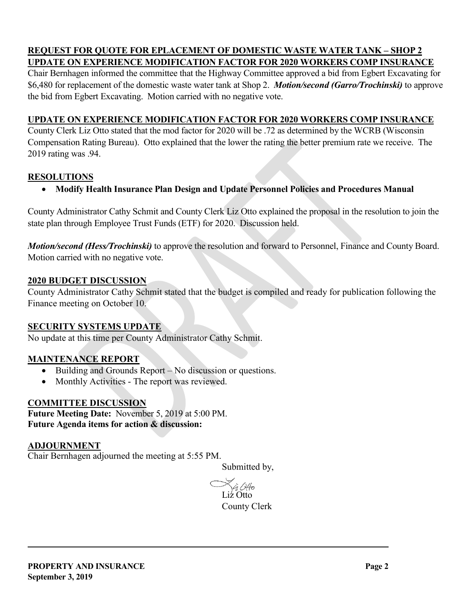#### **REQUEST FOR QUOTE FOR EPLACEMENT OF DOMESTIC WASTE WATER TANK – SHOP 2 UPDATE ON EXPERIENCE MODIFICATION FACTOR FOR 2020 WORKERS COMP INSURANCE**

Chair Bernhagen informed the committee that the Highway Committee approved a bid from Egbert Excavating for \$6,480 for replacement of the domestic waste water tank at Shop 2. *Motion/second (Garro/Trochinski)* to approve the bid from Egbert Excavating. Motion carried with no negative vote.

### **UPDATE ON EXPERIENCE MODIFICATION FACTOR FOR 2020 WORKERS COMP INSURANCE**

County Clerk Liz Otto stated that the mod factor for 2020 will be .72 as determined by the WCRB (Wisconsin Compensation Rating Bureau). Otto explained that the lower the rating the better premium rate we receive. The 2019 rating was .94.

## **RESOLUTIONS**

• **Modify Health Insurance Plan Design and Update Personnel Policies and Procedures Manual**

County Administrator Cathy Schmit and County Clerk Liz Otto explained the proposal in the resolution to join the state plan through Employee Trust Funds (ETF) for 2020. Discussion held.

*Motion/second (Hess/Trochinski)* to approve the resolution and forward to Personnel, Finance and County Board. Motion carried with no negative vote.

#### **2020 BUDGET DISCUSSION**

County Administrator Cathy Schmit stated that the budget is compiled and ready for publication following the Finance meeting on October 10.

#### **SECURITY SYSTEMS UPDATE**

No update at this time per County Administrator Cathy Schmit.

## **MAINTENANCE REPORT**

- Building and Grounds Report No discussion or questions.
- Monthly Activities The report was reviewed.

## **COMMITTEE DISCUSSION**

**Future Meeting Date:** November 5, 2019 at 5:00 PM. **Future Agenda items for action & discussion:**

#### **ADJOURNMENT**

Chair Bernhagen adjourned the meeting at 5:55 PM.

Submitted by,

 $\bigotimes_{\mathbf{Liz}} \bigotimes_{\mathbf{C}} \mathcal{U}$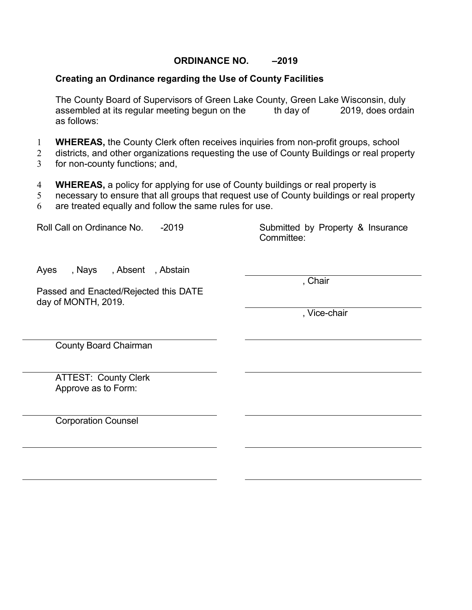#### **ORDINANCE NO. –2019**

#### **Creating an Ordinance regarding the Use of County Facilities**

The County Board of Supervisors of Green Lake County, Green Lake Wisconsin, duly<br>assembled at its regular meeting begun on the th day of 2019, does ordai assembled at its regular meeting begun on the th day of 2019, does ordain as follows:

- 1 **WHEREAS,** the County Clerk often receives inquiries from non-profit groups, school
- 2 districts, and other organizations requesting the use of County Buildings or real property
- 3 for non-county functions; and,
- 4 **WHEREAS,** a policy for applying for use of County buildings or real property is
- 5 necessary to ensure that all groups that request use of County buildings or real property
- 6 are treated equally and follow the same rules for use.

Roll Call on Ordinance No. -2019 Submitted by Property & Insurance Committee:

Ayes , Nays , Absent , Abstain

Passed and Enacted/Rejected this DATE day of MONTH, 2019.

, Chair

, Vice-chair

County Board Chairman

ATTEST: County Clerk Approve as to Form:

Corporation Counsel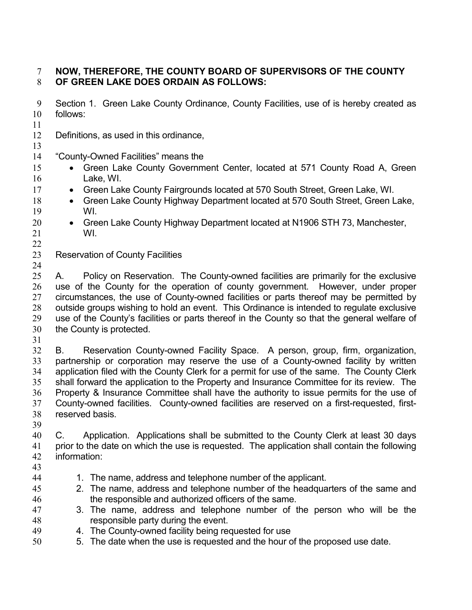## **NOW, THEREFORE, THE COUNTY BOARD OF SUPERVISORS OF THE COUNTY OF GREEN LAKE DOES ORDAIN AS FOLLOWS:**

- Section 1. Green Lake County Ordinance, County Facilities, use of is hereby created as follows:
- 
- Definitions, as used in this ordinance,
- 
- "County-Owned Facilities" means the
- 15 Green Lake County Government Center, located at 571 County Road A, Green Lake, WI.
- 17 Green Lake County Fairgrounds located at 570 South Street, Green Lake, WI.
- 18 Green Lake County Highway Department located at 570 South Street, Green Lake, WI.
- Green Lake County Highway Department located at N1906 STH 73, Manchester, WI.
- Reservation of County Facilities
- 25 A. Policy on Reservation. The County-owned facilities are primarily for the exclusive use of the County for the operation of county government. However, under proper circumstances, the use of County-owned facilities or parts thereof may be permitted by outside groups wishing to hold an event. This Ordinance is intended to regulate exclusive use of the County's facilities or parts thereof in the County so that the general welfare of the County is protected.
- 

 B. Reservation County-owned Facility Space. A person, group, firm, organization, partnership or corporation may reserve the use of a County-owned facility by written application filed with the County Clerk for a permit for use of the same. The County Clerk shall forward the application to the Property and Insurance Committee for its review. The Property & Insurance Committee shall have the authority to issue permits for the use of County-owned facilities. County-owned facilities are reserved on a first-requested, first-reserved basis.

 C. Application. Applications shall be submitted to the County Clerk at least 30 days prior to the date on which the use is requested. The application shall contain the following information:

- 
- 1. The name, address and telephone number of the applicant.
- 2. The name, address and telephone number of the headquarters of the same and the responsible and authorized officers of the same.
- 3. The name, address and telephone number of the person who will be the responsible party during the event.
- 4. The County-owned facility being requested for use
- 5. The date when the use is requested and the hour of the proposed use date.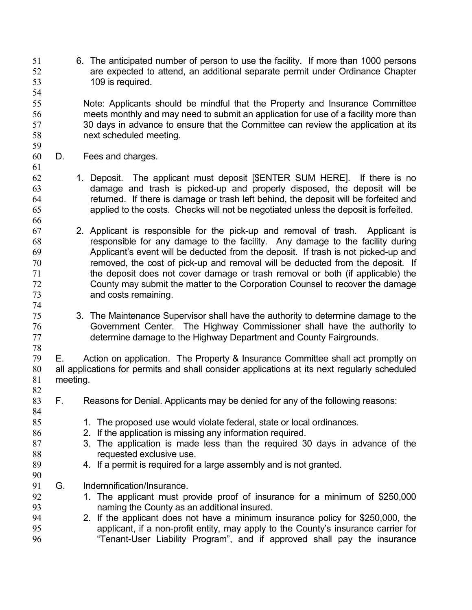6. The anticipated number of person to use the facility. If more than 1000 persons are expected to attend, an additional separate permit under Ordinance Chapter 109 is required.

 Note: Applicants should be mindful that the Property and Insurance Committee meets monthly and may need to submit an application for use of a facility more than 30 days in advance to ensure that the Committee can review the application at its next scheduled meeting.

D. Fees and charges.

- 1. Deposit. The applicant must deposit [\$ENTER SUM HERE]. If there is no damage and trash is picked-up and properly disposed, the deposit will be returned. If there is damage or trash left behind, the deposit will be forfeited and applied to the costs. Checks will not be negotiated unless the deposit is forfeited.
- 2. Applicant is responsible for the pick-up and removal of trash. Applicant is responsible for any damage to the facility. Any damage to the facility during Applicant's event will be deducted from the deposit. If trash is not picked-up and removed, the cost of pick-up and removal will be deducted from the deposit. If the deposit does not cover damage or trash removal or both (if applicable) the County may submit the matter to the Corporation Counsel to recover the damage and costs remaining.
- 3. The Maintenance Supervisor shall have the authority to determine damage to the Government Center. The Highway Commissioner shall have the authority to determine damage to the Highway Department and County Fairgrounds.

 E. Action on application. The Property & Insurance Committee shall act promptly on all applications for permits and shall consider applications at its next regularly scheduled meeting. 

- F. Reasons for Denial. Applicants may be denied for any of the following reasons:
- 85 1. The proposed use would violate federal, state or local ordinances.
- 2. If the application is missing any information required.
- 3. The application is made less than the required 30 days in advance of the **requested exclusive use.**
- 4. If a permit is required for a large assembly and is not granted.
- G. Indemnification/Insurance.
- 1. The applicant must provide proof of insurance for a minimum of \$250,000 naming the County as an additional insured.
- 2. If the applicant does not have a minimum insurance policy for \$250,000, the applicant, if a non-profit entity, may apply to the County's insurance carrier for "Tenant-User Liability Program", and if approved shall pay the insurance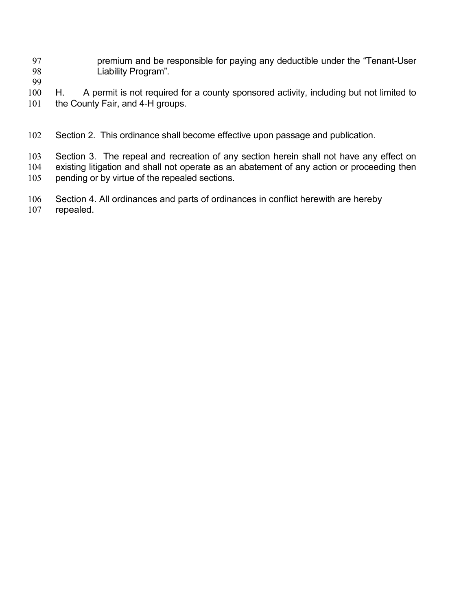- premium and be responsible for paying any deductible under the "Tenant-User Liability Program".
- 
- 100 H. A permit is not required for a county sponsored activity, including but not limited to 101 the County Fair, and 4-H groups.
- Section 2. This ordinance shall become effective upon passage and publication.
- Section 3. The repeal and recreation of any section herein shall not have any effect on existing litigation and shall not operate as an abatement of any action or proceeding then
- pending or by virtue of the repealed sections.
- Section 4. All ordinances and parts of ordinances in conflict herewith are hereby
- repealed.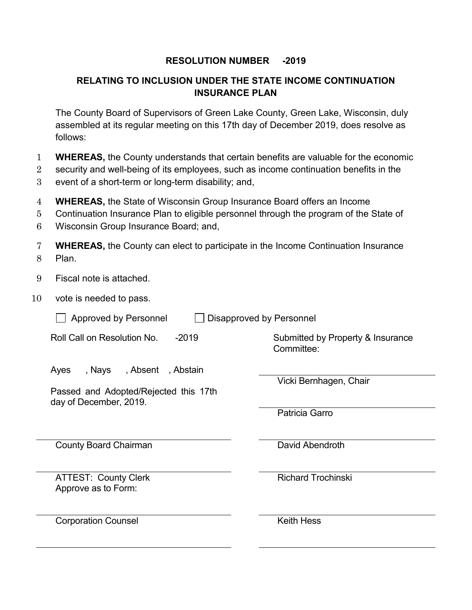## **RESOLUTION NUMBER -2019**

## **RELATING TO INCLUSION UNDER THE STATE INCOME CONTINUATION INSURANCE PLAN**

The County Board of Supervisors of Green Lake County, Green Lake, Wisconsin, duly assembled at its regular meeting on this 17th day of December 2019, does resolve as follows:

- 1 **WHEREAS,** the County understands that certain benefits are valuable for the economic
- 2 security and well-being of its employees, such as income continuation benefits in the
- 3 event of a short-term or long-term disability; and,
- 4 **WHEREAS,** the State of Wisconsin Group Insurance Board offers an Income
- 5 Continuation Insurance Plan to eligible personnel through the program of the State of
- 6 Wisconsin Group Insurance Board; and,
- 7 **WHEREAS,** the County can elect to participate in the Income Continuation Insurance 8 Plan.
- 9 Fiscal note is attached.
- 10 vote is needed to pass.

| <b>Approved by Personnel</b><br>Disapproved by Personnel                                              |                                                 |  |  |
|-------------------------------------------------------------------------------------------------------|-------------------------------------------------|--|--|
| Roll Call on Resolution No.<br>$-2019$                                                                | Submitted by Property & Insurance<br>Committee: |  |  |
| , Nays<br>,Absent ,Abstain<br>Ayes<br>Passed and Adopted/Rejected this 17th<br>day of December, 2019. | Vicki Bernhagen, Chair                          |  |  |
|                                                                                                       | Patricia Garro                                  |  |  |
| <b>County Board Chairman</b>                                                                          | David Abendroth                                 |  |  |
| <b>ATTEST: County Clerk</b><br>Approve as to Form:                                                    | <b>Richard Trochinski</b>                       |  |  |
| <b>Corporation Counsel</b>                                                                            | <b>Keith Hess</b>                               |  |  |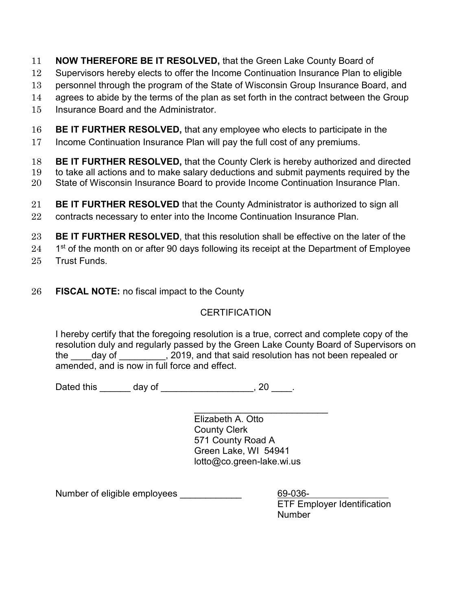- 11 **NOW THEREFORE BE IT RESOLVED,** that the Green Lake County Board of
- 12 Supervisors hereby elects to offer the Income Continuation Insurance Plan to eligible
- 13 personnel through the program of the State of Wisconsin Group Insurance Board, and
- 14 agrees to abide by the terms of the plan as set forth in the contract between the Group
- 15 Insurance Board and the Administrator.
- 16 **BE IT FURTHER RESOLVED,** that any employee who elects to participate in the
- 17 Income Continuation Insurance Plan will pay the full cost of any premiums.
- 18 **BE IT FURTHER RESOLVED,** that the County Clerk is hereby authorized and directed
- 19 to take all actions and to make salary deductions and submit payments required by the
- 20 State of Wisconsin Insurance Board to provide Income Continuation Insurance Plan.
- 21 **BE IT FURTHER RESOLVED** that the County Administrator is authorized to sign all
- 22 contracts necessary to enter into the Income Continuation Insurance Plan.
- 23 **BE IT FURTHER RESOLVED**, that this resolution shall be effective on the later of the
- $24$  1<sup>st</sup> of the month on or after 90 days following its receipt at the Department of Employee
- 25 Trust Funds.
- 26 **FISCAL NOTE:** no fiscal impact to the County

## **CERTIFICATION**

I hereby certify that the foregoing resolution is a true, correct and complete copy of the resolution duly and regularly passed by the Green Lake County Board of Supervisors on the day of  $\qquad \qquad$ , 2019, and that said resolution has not been repealed or amended, and is now in full force and effect.

Dated this \_\_\_\_\_\_\_ day of \_\_\_\_\_\_\_\_\_\_\_\_\_\_\_\_\_\_\_, 20 \_\_\_\_.

\_\_\_\_\_\_\_\_\_\_\_\_\_\_\_\_\_\_\_\_\_\_\_\_\_\_ Elizabeth A. Otto County Clerk 571 County Road A Green Lake, WI 54941 lotto@co.green-lake.wi.us

Number of eligible employees \_\_\_\_\_\_\_\_\_\_\_\_ 69-036-

ETF Employer Identification Number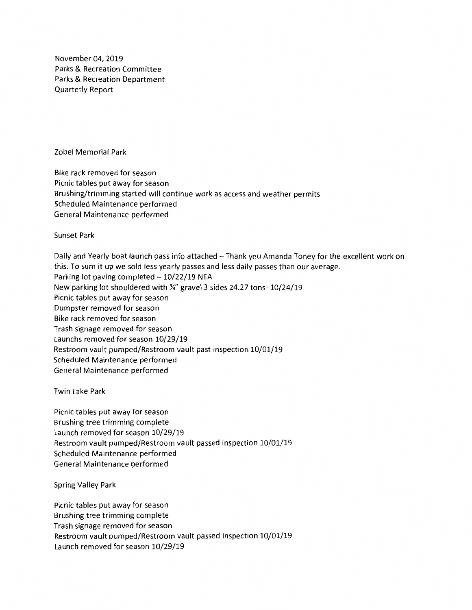November 04, 2019 Parks & Recreation Committee Parks & Recreation Department Quarterly Report

Zobel Memorial Park

Bike rack removed for season Picnic tables put away for season Brushing/trimming started will continue work as access and weather permits Scheduled Maintenance performed General Maintenance performed

Sunset Park

Daily and Yearly boat launch pass info attached - Thank you Amanda Toney for the excellent work on this. To sum it up we sold less yearly passes and less daily passes than our average. Parking lot paving completed  $-10/22/19$  NEA New parking lot shouldered with ¾" gravel 3 sides 24.27 tons- 10/24/19 Picnic tables put away for season Dumpster removed for season Bike rack removed for season Trash signage removed for season Launchs removed for season 10/29/19 Restroom vault pumped/Restroom vault past inspection 10/01/19 Scheduled Maintenance performed General Maintenance performed

Twin Lake Park

Picnic tables put away for season Brushing tree trimming complete Launch removed for season 10/29/19 Restroom vault pumped/Restroom vault passed inspection 10/01/19 Scheduled Maintenance performed General Maintenance performed

Spring Valley Park

Picnic tables put away for season Brushing tree trimming complete Trash signage removed for season Restroom vault pumped/Restroom vault passed inspection 10/01/19 Launch removed for season 10/29/19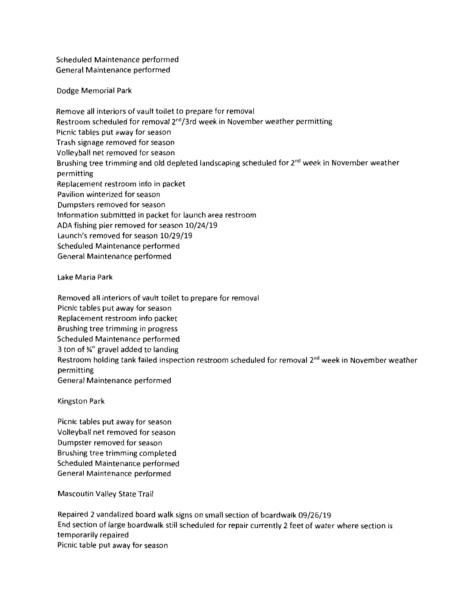Scheduled Maintenance performed General Maintenance performed

Dodge Memorial Park

Remove all interiors of vault toilet to prepare for removal Restroom scheduled for removal  $2^{nd}/3$ rd week in November weather permitting Picnic tables put away for season Trash signage removed for season Volleyball net removed for season Brushing tree trimming and old depleted landscaping scheduled for 2<sup>nd</sup> week in November weather permitting Replacement restroom info in packet Pavilion winterized for season Dumpsters removed for season Information submitted in packet for launch area restroom ADA fishing pier removed for season 10/24/19 Launch's removed for season 10/29/19 Scheduled Maintenance performed General Maintenance performed

Lake Maria Park

Removed all interiors of vault toilet to prepare for removal Picnic tables put away for season Replacement restroom info packet Brushing tree trimming in progress Scheduled Maintenance performed 3 ton of¾" gravel added to landing Restroom holding tank failed inspection restroom scheduled for removal 2<sup>nd</sup> week in November weather permitting General Maintenance performed

Kingston Park

Picnic tables put away for season Volleyball net removed for season Dumpster removed for season Brushing tree trimming completed Scheduled Maintenance performed General Maintenance performed

Mascoutin Valley State Trail

Repaired 2 vandalized board walk signs on small section of boardwalk 09/26/19 End section of large boardwalk still scheduled for repair currently 2 feet of water where section is temporarily repaired Picnic table put away for season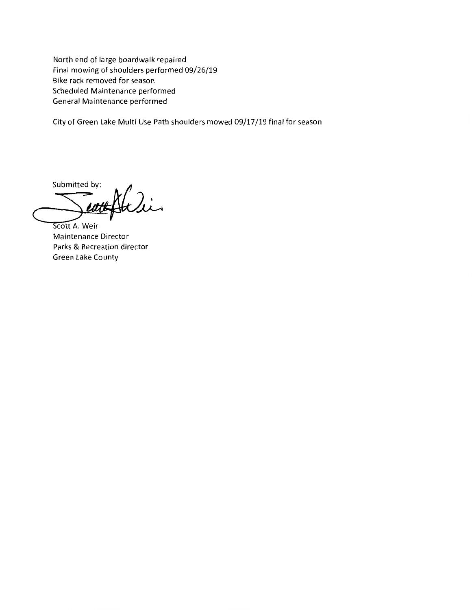North end of large boardwalk repaired Final mowing of shoulders performed 09/26/19 Bike rack removed for season Scheduled Maintenance performed General Maintenance performed

City of Green Lake Multi Use Path shoulders mowed 09/17 /19 final for season

**Submitted by:** 

Scott A. Weir Maintenance Director Parks & Recreation director Green Lake County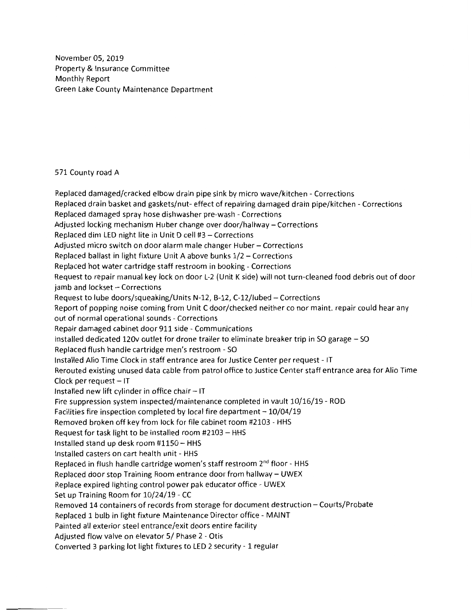November 05, 2019 Property & Insurance Committee Monthly Report Green Lake County Maintenance Department

#### 571 County road A

Replaced damaged/cracked elbow drain pipe sink by micro wave/kitchen - Corrections Replaced drain basket and gaskets/nut- effect of repairing damaged drain pipe/kitchen - Corrections Replaced damaged spray hose dishwasher pre-wash - Corrections Adjusted locking mechanism Huber change over door/hallway- Corrections Replaced dim LED night lite in Unit D cell #3 - Corrections Adjusted micro switch on door alarm male changer Huber - Corrections Replaced ballast in light fixture Unit A above bunks 1/2 - Corrections Replaced hot water cartridge staff restroom in booking - Corrections Request to repair manual key lock on door L-2 (Unit K side) will not turn-cleaned food debris out of door jamb and lockset - Corrections Request to lube doors/squeaking/Units N-12, B-12, C-12/lubed - Corrections Report of popping noise coming from Unit C door/checked neither co nor maint. repair could hear any out of normal operational sounds - Corrections Repair damaged cabinet door 911 side - Communications Installed dedicated 120v outlet for drone trailer to eliminate breaker trip in SO garage - SO Replaced flush handle cartridge men's restroom - SO Installed Alio Time Clock in staff entrance area for Justice Center per request - IT Rerouted existing unused data cable from patrol office to Justice Center staff entrance area for Alio Time Clock per request  $-1T$ Installed new lift cylinder in office chair  $-$  IT Fire suppression system inspected/maintenance completed in vault 10/16/19 - ROD Facilities fire inspection completed by local fire department  $-10/04/19$ Removed broken off key from lock for file cabinet room #2103 - HHS Request for task light to be installed room #2103 - HHS Installed stand up desk room  $#1150 - HHS$ Installed casters on cart health unit - HHS Replaced in flush handle cartridge women's staff restroom 2<sup>nd</sup> floor - HHS Replaced door stop Training Room entrance door from hallway - UWEX Replace expired lighting control power pak educator office - UWEX Set up Training Room for 10/24/19 - CC Removed 14 containers of records from storage for document destruction - Courts/Probate Replaced 1 bulb in light fixture Maintenance Director office - MAINT Painted all exterior steel entrance/exit doors entire facility Adjusted flow valve on elevator 5/ Phase 2 - Otis Converted 3 parking lot light fixtures to LED 2 security - 1 regular